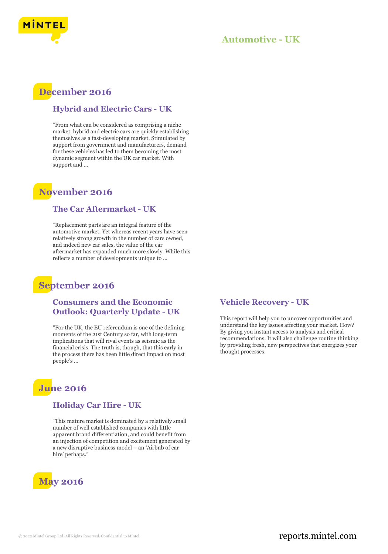

### **Automotive - UK**

## **December 2016**

#### **Hybrid and Electric Cars - UK**

"From what can be considered as comprising a niche market, hybrid and electric cars are quickly establishing themselves as a fast-developing market. Stimulated by support from government and manufacturers, demand for these vehicles has led to them becoming the most dynamic segment within the UK car market. With support and ...

## **November 2016**

#### **The Car Aftermarket - UK**

"Replacement parts are an integral feature of the automotive market. Yet whereas recent years have seen relatively strong growth in the number of cars owned, and indeed new car sales, the value of the car aftermarket has expanded much more slowly. While this reflects a number of developments unique to ...

## **September 2016**

#### **Consumers and the Economic Outlook: Quarterly Update - UK**

"For the UK, the EU referendum is one of the defining moments of the 21st Century so far, with long-term implications that will rival events as seismic as the financial crisis. The truth is, though, that this early in the process there has been little direct impact on most people's ...

## **June 2016**

#### **Holiday Car Hire - UK**

"This mature market is dominated by a relatively small number of well established companies with little apparent brand differentiation, and could benefit from an injection of competition and excitement generated by a new disruptive business model – an 'Airbnb of car hire' perhaps."



#### **Vehicle Recovery - UK**

This report will help you to uncover opportunities and understand the key issues affecting your market. How? By giving you instant access to analysis and critical recommendations. It will also challenge routine thinking by providing fresh, new perspectives that energizes your thought processes.